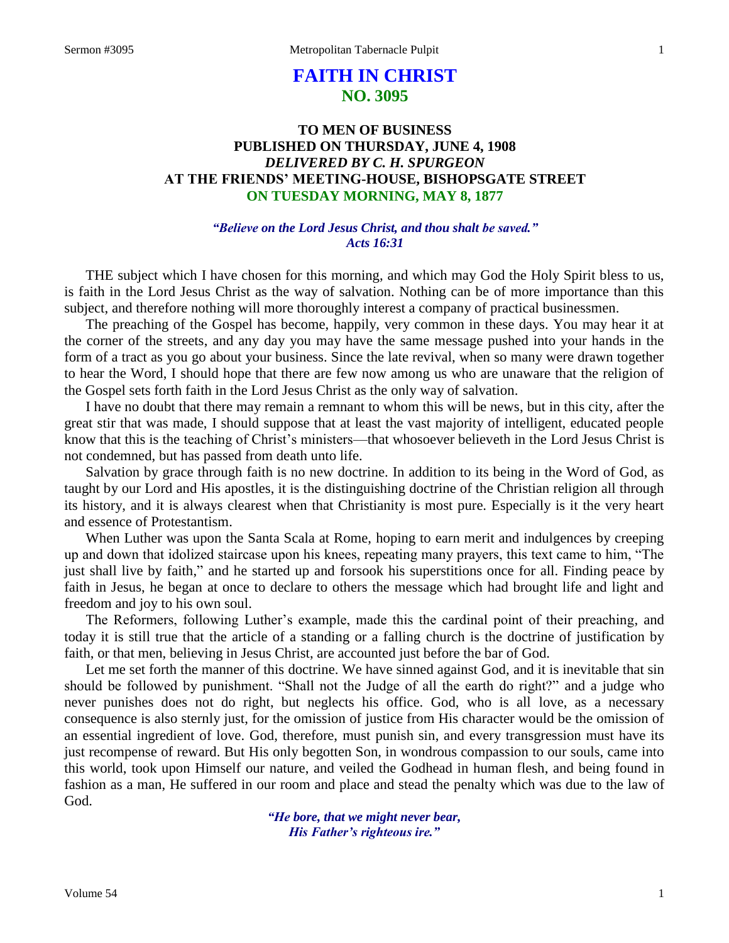# **FAITH IN CHRIST NO. 3095**

# **TO MEN OF BUSINESS PUBLISHED ON THURSDAY, JUNE 4, 1908** *DELIVERED BY C. H. SPURGEON* **AT THE FRIENDS' MEETING-HOUSE, BISHOPSGATE STREET ON TUESDAY MORNING, MAY 8, 1877**

#### *"Believe on the Lord Jesus Christ, and thou shalt be saved." Acts 16:31*

THE subject which I have chosen for this morning, and which may God the Holy Spirit bless to us, is faith in the Lord Jesus Christ as the way of salvation. Nothing can be of more importance than this subject, and therefore nothing will more thoroughly interest a company of practical businessmen.

The preaching of the Gospel has become, happily, very common in these days. You may hear it at the corner of the streets, and any day you may have the same message pushed into your hands in the form of a tract as you go about your business. Since the late revival, when so many were drawn together to hear the Word, I should hope that there are few now among us who are unaware that the religion of the Gospel sets forth faith in the Lord Jesus Christ as the only way of salvation.

I have no doubt that there may remain a remnant to whom this will be news, but in this city, after the great stir that was made, I should suppose that at least the vast majority of intelligent, educated people know that this is the teaching of Christ's ministers—that whosoever believeth in the Lord Jesus Christ is not condemned, but has passed from death unto life.

Salvation by grace through faith is no new doctrine. In addition to its being in the Word of God, as taught by our Lord and His apostles, it is the distinguishing doctrine of the Christian religion all through its history, and it is always clearest when that Christianity is most pure. Especially is it the very heart and essence of Protestantism.

When Luther was upon the Santa Scala at Rome, hoping to earn merit and indulgences by creeping up and down that idolized staircase upon his knees, repeating many prayers, this text came to him, "The just shall live by faith," and he started up and forsook his superstitions once for all. Finding peace by faith in Jesus, he began at once to declare to others the message which had brought life and light and freedom and joy to his own soul.

The Reformers, following Luther's example, made this the cardinal point of their preaching, and today it is still true that the article of a standing or a falling church is the doctrine of justification by faith, or that men, believing in Jesus Christ, are accounted just before the bar of God.

Let me set forth the manner of this doctrine. We have sinned against God, and it is inevitable that sin should be followed by punishment. "Shall not the Judge of all the earth do right?" and a judge who never punishes does not do right, but neglects his office. God, who is all love, as a necessary consequence is also sternly just, for the omission of justice from His character would be the omission of an essential ingredient of love. God, therefore, must punish sin, and every transgression must have its just recompense of reward. But His only begotten Son, in wondrous compassion to our souls, came into this world, took upon Himself our nature, and veiled the Godhead in human flesh, and being found in fashion as a man, He suffered in our room and place and stead the penalty which was due to the law of God.

> *"He bore, that we might never bear, His Father's righteous ire."*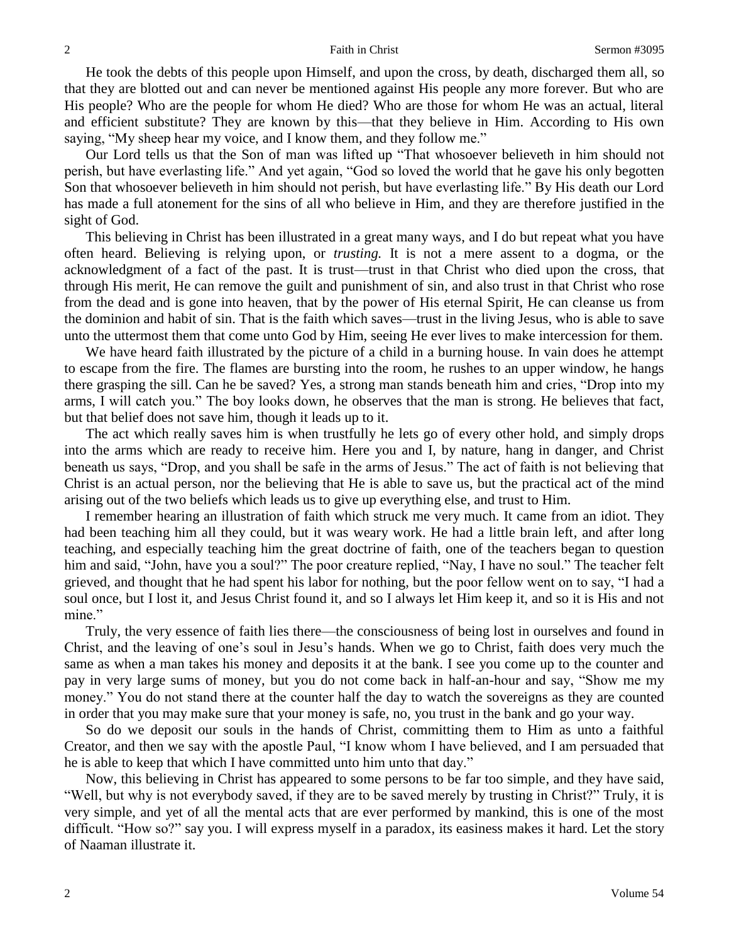He took the debts of this people upon Himself, and upon the cross, by death, discharged them all, so that they are blotted out and can never be mentioned against His people any more forever. But who are His people? Who are the people for whom He died? Who are those for whom He was an actual, literal and efficient substitute? They are known by this—that they believe in Him. According to His own saying, "My sheep hear my voice, and I know them, and they follow me."

Our Lord tells us that the Son of man was lifted up "That whosoever believeth in him should not perish, but have everlasting life." And yet again, "God so loved the world that he gave his only begotten Son that whosoever believeth in him should not perish, but have everlasting life." By His death our Lord has made a full atonement for the sins of all who believe in Him, and they are therefore justified in the sight of God.

This believing in Christ has been illustrated in a great many ways, and I do but repeat what you have often heard. Believing is relying upon, or *trusting.* It is not a mere assent to a dogma, or the acknowledgment of a fact of the past. It is trust—trust in that Christ who died upon the cross, that through His merit, He can remove the guilt and punishment of sin, and also trust in that Christ who rose from the dead and is gone into heaven, that by the power of His eternal Spirit, He can cleanse us from the dominion and habit of sin. That is the faith which saves—trust in the living Jesus, who is able to save unto the uttermost them that come unto God by Him, seeing He ever lives to make intercession for them.

We have heard faith illustrated by the picture of a child in a burning house. In vain does he attempt to escape from the fire. The flames are bursting into the room, he rushes to an upper window, he hangs there grasping the sill. Can he be saved? Yes, a strong man stands beneath him and cries, "Drop into my arms, I will catch you." The boy looks down, he observes that the man is strong. He believes that fact, but that belief does not save him, though it leads up to it.

The act which really saves him is when trustfully he lets go of every other hold, and simply drops into the arms which are ready to receive him. Here you and I, by nature, hang in danger, and Christ beneath us says, "Drop, and you shall be safe in the arms of Jesus." The act of faith is not believing that Christ is an actual person, nor the believing that He is able to save us, but the practical act of the mind arising out of the two beliefs which leads us to give up everything else, and trust to Him.

I remember hearing an illustration of faith which struck me very much. It came from an idiot. They had been teaching him all they could, but it was weary work. He had a little brain left, and after long teaching, and especially teaching him the great doctrine of faith, one of the teachers began to question him and said, "John, have you a soul?" The poor creature replied, "Nay, I have no soul." The teacher felt grieved, and thought that he had spent his labor for nothing, but the poor fellow went on to say, "I had a soul once, but I lost it, and Jesus Christ found it, and so I always let Him keep it, and so it is His and not mine."

Truly, the very essence of faith lies there—the consciousness of being lost in ourselves and found in Christ, and the leaving of one's soul in Jesu's hands. When we go to Christ, faith does very much the same as when a man takes his money and deposits it at the bank. I see you come up to the counter and pay in very large sums of money, but you do not come back in half-an-hour and say, "Show me my money." You do not stand there at the counter half the day to watch the sovereigns as they are counted in order that you may make sure that your money is safe, no, you trust in the bank and go your way.

So do we deposit our souls in the hands of Christ, committing them to Him as unto a faithful Creator, and then we say with the apostle Paul, "I know whom I have believed, and I am persuaded that he is able to keep that which I have committed unto him unto that day."

Now, this believing in Christ has appeared to some persons to be far too simple, and they have said, "Well, but why is not everybody saved, if they are to be saved merely by trusting in Christ?" Truly, it is very simple, and yet of all the mental acts that are ever performed by mankind, this is one of the most difficult. "How so?" say you. I will express myself in a paradox, its easiness makes it hard. Let the story of Naaman illustrate it.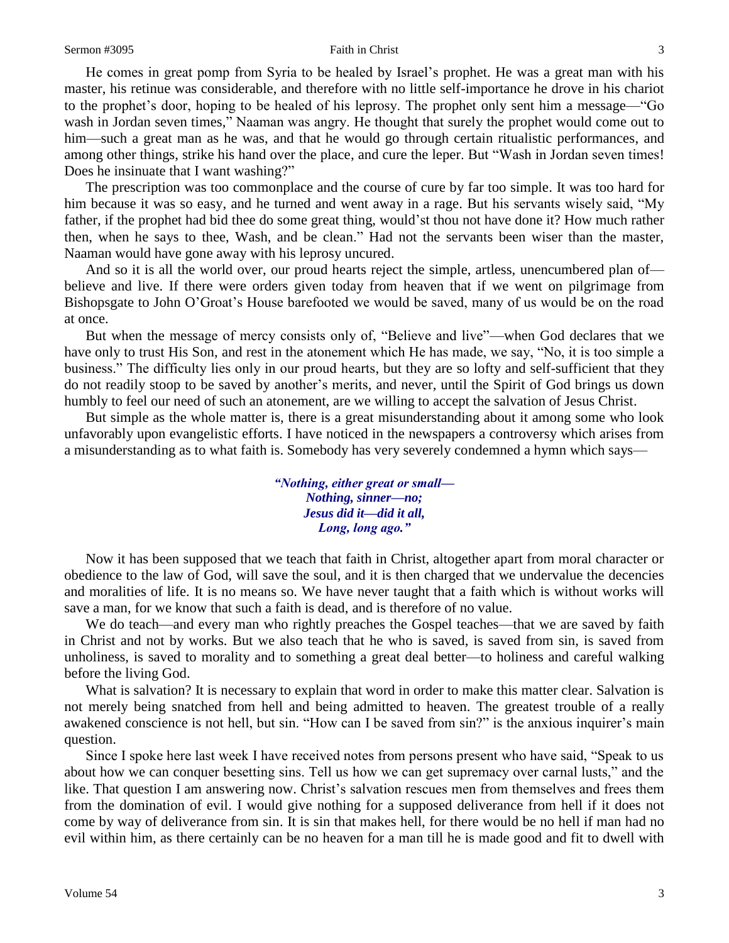He comes in great pomp from Syria to be healed by Israel's prophet. He was a great man with his master, his retinue was considerable, and therefore with no little self-importance he drove in his chariot to the prophet's door, hoping to be healed of his leprosy. The prophet only sent him a message—"Go wash in Jordan seven times," Naaman was angry. He thought that surely the prophet would come out to him—such a great man as he was, and that he would go through certain ritualistic performances, and among other things, strike his hand over the place, and cure the leper. But "Wash in Jordan seven times! Does he insinuate that I want washing?"

The prescription was too commonplace and the course of cure by far too simple. It was too hard for him because it was so easy, and he turned and went away in a rage. But his servants wisely said, "My father, if the prophet had bid thee do some great thing, would'st thou not have done it? How much rather then, when he says to thee, Wash, and be clean." Had not the servants been wiser than the master, Naaman would have gone away with his leprosy uncured.

And so it is all the world over, our proud hearts reject the simple, artless, unencumbered plan of believe and live. If there were orders given today from heaven that if we went on pilgrimage from Bishopsgate to John O'Groat's House barefooted we would be saved, many of us would be on the road at once.

But when the message of mercy consists only of, "Believe and live"—when God declares that we have only to trust His Son, and rest in the atonement which He has made, we say, "No, it is too simple a business." The difficulty lies only in our proud hearts, but they are so lofty and self-sufficient that they do not readily stoop to be saved by another's merits, and never, until the Spirit of God brings us down humbly to feel our need of such an atonement, are we willing to accept the salvation of Jesus Christ.

But simple as the whole matter is, there is a great misunderstanding about it among some who look unfavorably upon evangelistic efforts. I have noticed in the newspapers a controversy which arises from a misunderstanding as to what faith is. Somebody has very severely condemned a hymn which says—

> *"Nothing, either great or small— Nothing, sinner—no; Jesus did it—did it all, Long, long ago."*

Now it has been supposed that we teach that faith in Christ, altogether apart from moral character or obedience to the law of God, will save the soul, and it is then charged that we undervalue the decencies and moralities of life. It is no means so. We have never taught that a faith which is without works will save a man, for we know that such a faith is dead, and is therefore of no value.

We do teach—and every man who rightly preaches the Gospel teaches—that we are saved by faith in Christ and not by works. But we also teach that he who is saved, is saved from sin, is saved from unholiness, is saved to morality and to something a great deal better—to holiness and careful walking before the living God.

What is salvation? It is necessary to explain that word in order to make this matter clear. Salvation is not merely being snatched from hell and being admitted to heaven. The greatest trouble of a really awakened conscience is not hell, but sin. "How can I be saved from sin?" is the anxious inquirer's main question.

Since I spoke here last week I have received notes from persons present who have said, "Speak to us about how we can conquer besetting sins. Tell us how we can get supremacy over carnal lusts," and the like. That question I am answering now. Christ's salvation rescues men from themselves and frees them from the domination of evil. I would give nothing for a supposed deliverance from hell if it does not come by way of deliverance from sin. It is sin that makes hell, for there would be no hell if man had no evil within him, as there certainly can be no heaven for a man till he is made good and fit to dwell with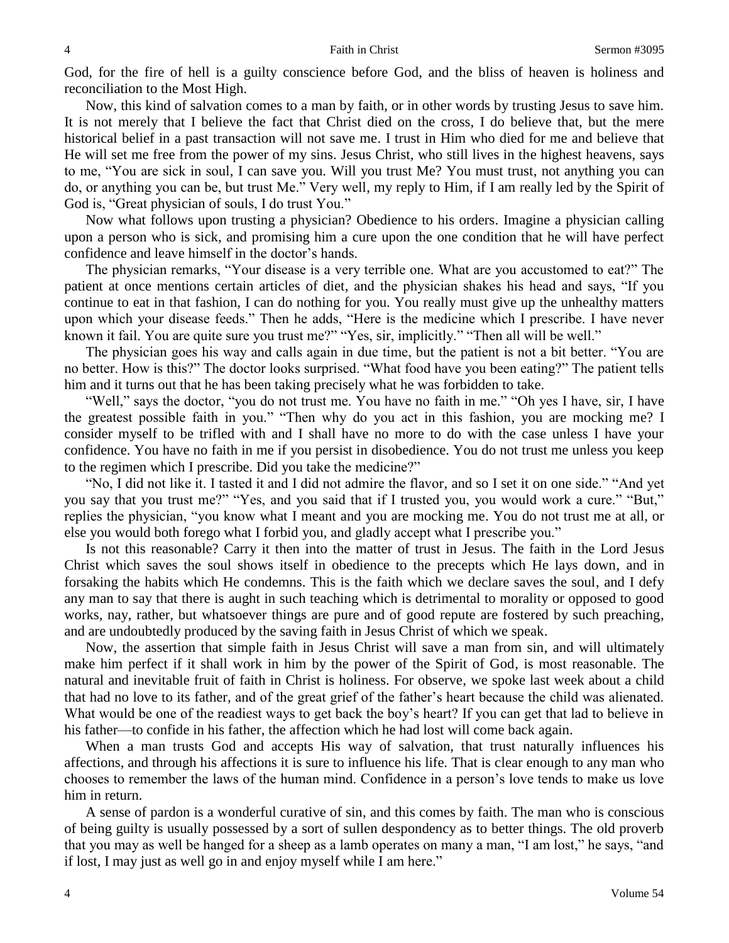God, for the fire of hell is a guilty conscience before God, and the bliss of heaven is holiness and reconciliation to the Most High.

Now, this kind of salvation comes to a man by faith, or in other words by trusting Jesus to save him. It is not merely that I believe the fact that Christ died on the cross, I do believe that, but the mere historical belief in a past transaction will not save me. I trust in Him who died for me and believe that He will set me free from the power of my sins. Jesus Christ, who still lives in the highest heavens, says to me, "You are sick in soul, I can save you. Will you trust Me? You must trust, not anything you can do, or anything you can be, but trust Me." Very well, my reply to Him, if I am really led by the Spirit of God is, "Great physician of souls, I do trust You."

Now what follows upon trusting a physician? Obedience to his orders. Imagine a physician calling upon a person who is sick, and promising him a cure upon the one condition that he will have perfect confidence and leave himself in the doctor's hands.

The physician remarks, "Your disease is a very terrible one. What are you accustomed to eat?" The patient at once mentions certain articles of diet, and the physician shakes his head and says, "If you continue to eat in that fashion, I can do nothing for you. You really must give up the unhealthy matters upon which your disease feeds." Then he adds, "Here is the medicine which I prescribe. I have never known it fail. You are quite sure you trust me?" "Yes, sir, implicitly." "Then all will be well."

The physician goes his way and calls again in due time, but the patient is not a bit better. "You are no better. How is this?" The doctor looks surprised. "What food have you been eating?" The patient tells him and it turns out that he has been taking precisely what he was forbidden to take.

"Well," says the doctor, "you do not trust me. You have no faith in me." "Oh yes I have, sir, I have the greatest possible faith in you." "Then why do you act in this fashion, you are mocking me? I consider myself to be trifled with and I shall have no more to do with the case unless I have your confidence. You have no faith in me if you persist in disobedience. You do not trust me unless you keep to the regimen which I prescribe. Did you take the medicine?"

"No, I did not like it. I tasted it and I did not admire the flavor, and so I set it on one side." "And yet you say that you trust me?" "Yes, and you said that if I trusted you, you would work a cure." "But," replies the physician, "you know what I meant and you are mocking me. You do not trust me at all, or else you would both forego what I forbid you, and gladly accept what I prescribe you."

Is not this reasonable? Carry it then into the matter of trust in Jesus. The faith in the Lord Jesus Christ which saves the soul shows itself in obedience to the precepts which He lays down, and in forsaking the habits which He condemns. This is the faith which we declare saves the soul, and I defy any man to say that there is aught in such teaching which is detrimental to morality or opposed to good works, nay, rather, but whatsoever things are pure and of good repute are fostered by such preaching, and are undoubtedly produced by the saving faith in Jesus Christ of which we speak.

Now, the assertion that simple faith in Jesus Christ will save a man from sin, and will ultimately make him perfect if it shall work in him by the power of the Spirit of God, is most reasonable. The natural and inevitable fruit of faith in Christ is holiness. For observe, we spoke last week about a child that had no love to its father, and of the great grief of the father's heart because the child was alienated. What would be one of the readiest ways to get back the boy's heart? If you can get that lad to believe in his father—to confide in his father, the affection which he had lost will come back again.

When a man trusts God and accepts His way of salvation, that trust naturally influences his affections, and through his affections it is sure to influence his life. That is clear enough to any man who chooses to remember the laws of the human mind. Confidence in a person's love tends to make us love him in return.

A sense of pardon is a wonderful curative of sin, and this comes by faith. The man who is conscious of being guilty is usually possessed by a sort of sullen despondency as to better things. The old proverb that you may as well be hanged for a sheep as a lamb operates on many a man, "I am lost," he says, "and if lost, I may just as well go in and enjoy myself while I am here."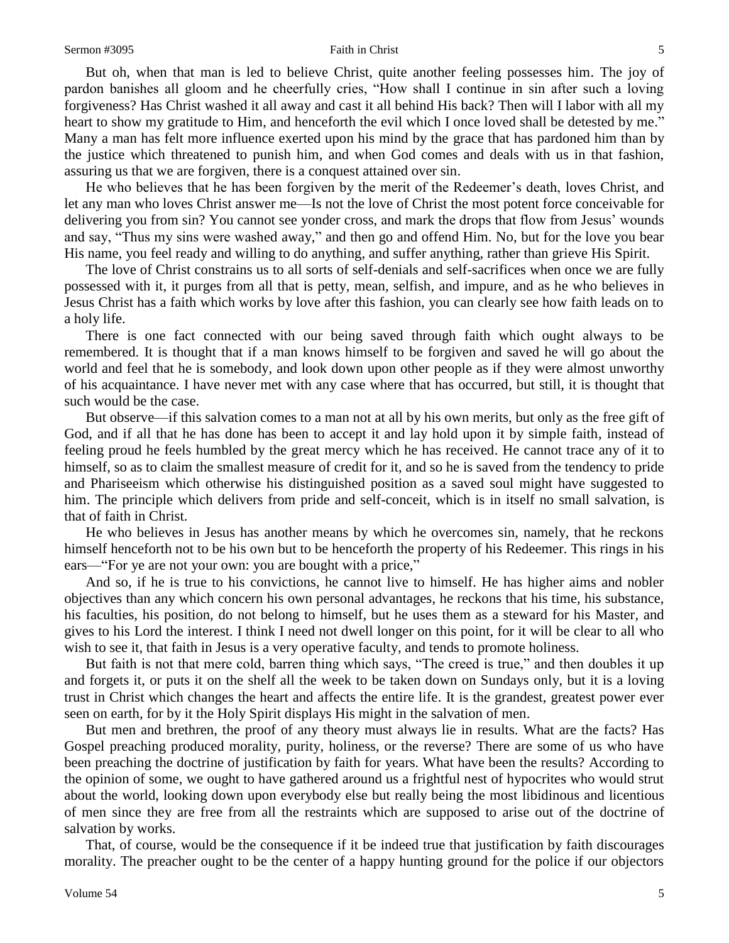But oh, when that man is led to believe Christ, quite another feeling possesses him. The joy of pardon banishes all gloom and he cheerfully cries, "How shall I continue in sin after such a loving forgiveness? Has Christ washed it all away and cast it all behind His back? Then will I labor with all my heart to show my gratitude to Him, and henceforth the evil which I once loved shall be detested by me." Many a man has felt more influence exerted upon his mind by the grace that has pardoned him than by the justice which threatened to punish him, and when God comes and deals with us in that fashion, assuring us that we are forgiven, there is a conquest attained over sin.

He who believes that he has been forgiven by the merit of the Redeemer's death, loves Christ, and let any man who loves Christ answer me—Is not the love of Christ the most potent force conceivable for delivering you from sin? You cannot see yonder cross, and mark the drops that flow from Jesus' wounds and say, "Thus my sins were washed away," and then go and offend Him. No, but for the love you bear His name, you feel ready and willing to do anything, and suffer anything, rather than grieve His Spirit.

The love of Christ constrains us to all sorts of self-denials and self-sacrifices when once we are fully possessed with it, it purges from all that is petty, mean, selfish, and impure, and as he who believes in Jesus Christ has a faith which works by love after this fashion, you can clearly see how faith leads on to a holy life.

There is one fact connected with our being saved through faith which ought always to be remembered. It is thought that if a man knows himself to be forgiven and saved he will go about the world and feel that he is somebody, and look down upon other people as if they were almost unworthy of his acquaintance. I have never met with any case where that has occurred, but still, it is thought that such would be the case.

But observe—if this salvation comes to a man not at all by his own merits, but only as the free gift of God, and if all that he has done has been to accept it and lay hold upon it by simple faith, instead of feeling proud he feels humbled by the great mercy which he has received. He cannot trace any of it to himself, so as to claim the smallest measure of credit for it, and so he is saved from the tendency to pride and Phariseeism which otherwise his distinguished position as a saved soul might have suggested to him. The principle which delivers from pride and self-conceit, which is in itself no small salvation, is that of faith in Christ.

He who believes in Jesus has another means by which he overcomes sin, namely, that he reckons himself henceforth not to be his own but to be henceforth the property of his Redeemer. This rings in his ears—"For ye are not your own: you are bought with a price,"

And so, if he is true to his convictions, he cannot live to himself. He has higher aims and nobler objectives than any which concern his own personal advantages, he reckons that his time, his substance, his faculties, his position, do not belong to himself, but he uses them as a steward for his Master, and gives to his Lord the interest. I think I need not dwell longer on this point, for it will be clear to all who wish to see it, that faith in Jesus is a very operative faculty, and tends to promote holiness.

But faith is not that mere cold, barren thing which says, "The creed is true," and then doubles it up and forgets it, or puts it on the shelf all the week to be taken down on Sundays only, but it is a loving trust in Christ which changes the heart and affects the entire life. It is the grandest, greatest power ever seen on earth, for by it the Holy Spirit displays His might in the salvation of men.

But men and brethren, the proof of any theory must always lie in results. What are the facts? Has Gospel preaching produced morality, purity, holiness, or the reverse? There are some of us who have been preaching the doctrine of justification by faith for years. What have been the results? According to the opinion of some, we ought to have gathered around us a frightful nest of hypocrites who would strut about the world, looking down upon everybody else but really being the most libidinous and licentious of men since they are free from all the restraints which are supposed to arise out of the doctrine of salvation by works.

That, of course, would be the consequence if it be indeed true that justification by faith discourages morality. The preacher ought to be the center of a happy hunting ground for the police if our objectors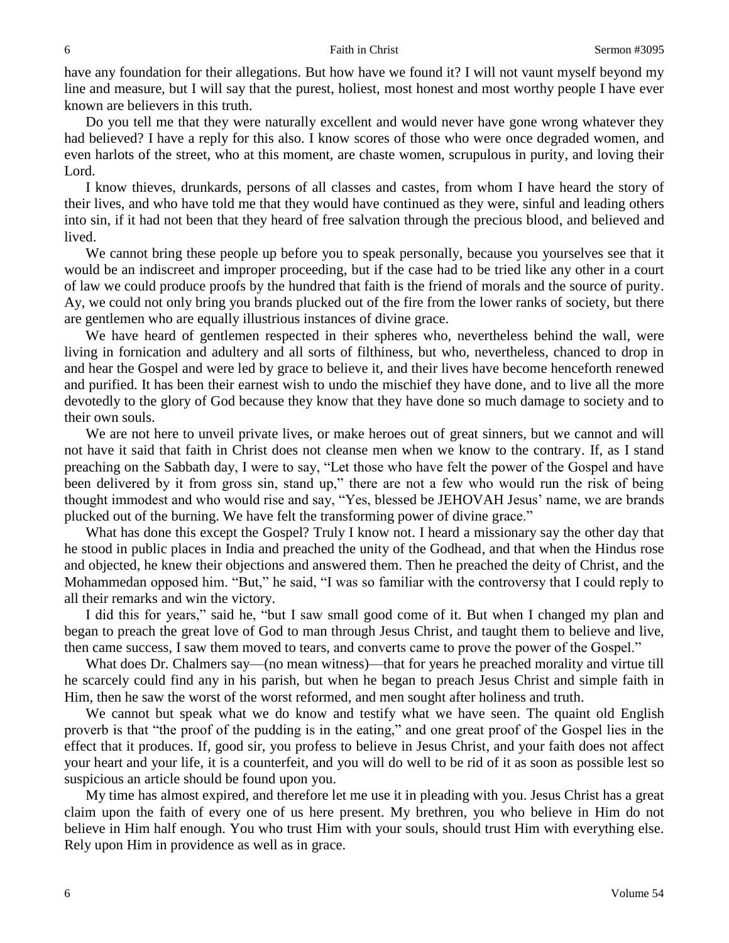have any foundation for their allegations. But how have we found it? I will not vaunt myself beyond my line and measure, but I will say that the purest, holiest, most honest and most worthy people I have ever known are believers in this truth.

Do you tell me that they were naturally excellent and would never have gone wrong whatever they had believed? I have a reply for this also. I know scores of those who were once degraded women, and even harlots of the street, who at this moment, are chaste women, scrupulous in purity, and loving their Lord.

I know thieves, drunkards, persons of all classes and castes, from whom I have heard the story of their lives, and who have told me that they would have continued as they were, sinful and leading others into sin, if it had not been that they heard of free salvation through the precious blood, and believed and lived.

We cannot bring these people up before you to speak personally, because you yourselves see that it would be an indiscreet and improper proceeding, but if the case had to be tried like any other in a court of law we could produce proofs by the hundred that faith is the friend of morals and the source of purity. Ay, we could not only bring you brands plucked out of the fire from the lower ranks of society, but there are gentlemen who are equally illustrious instances of divine grace.

We have heard of gentlemen respected in their spheres who, nevertheless behind the wall, were living in fornication and adultery and all sorts of filthiness, but who, nevertheless, chanced to drop in and hear the Gospel and were led by grace to believe it, and their lives have become henceforth renewed and purified. It has been their earnest wish to undo the mischief they have done, and to live all the more devotedly to the glory of God because they know that they have done so much damage to society and to their own souls.

We are not here to unveil private lives, or make heroes out of great sinners, but we cannot and will not have it said that faith in Christ does not cleanse men when we know to the contrary. If, as I stand preaching on the Sabbath day, I were to say, "Let those who have felt the power of the Gospel and have been delivered by it from gross sin, stand up," there are not a few who would run the risk of being thought immodest and who would rise and say, "Yes, blessed be JEHOVAH Jesus' name, we are brands plucked out of the burning. We have felt the transforming power of divine grace."

What has done this except the Gospel? Truly I know not. I heard a missionary say the other day that he stood in public places in India and preached the unity of the Godhead, and that when the Hindus rose and objected, he knew their objections and answered them. Then he preached the deity of Christ, and the Mohammedan opposed him. "But," he said, "I was so familiar with the controversy that I could reply to all their remarks and win the victory.

I did this for years," said he, "but I saw small good come of it. But when I changed my plan and began to preach the great love of God to man through Jesus Christ, and taught them to believe and live, then came success, I saw them moved to tears, and converts came to prove the power of the Gospel."

What does Dr. Chalmers say—(no mean witness)—that for years he preached morality and virtue till he scarcely could find any in his parish, but when he began to preach Jesus Christ and simple faith in Him, then he saw the worst of the worst reformed, and men sought after holiness and truth.

We cannot but speak what we do know and testify what we have seen. The quaint old English proverb is that "the proof of the pudding is in the eating," and one great proof of the Gospel lies in the effect that it produces. If, good sir, you profess to believe in Jesus Christ, and your faith does not affect your heart and your life, it is a counterfeit, and you will do well to be rid of it as soon as possible lest so suspicious an article should be found upon you.

My time has almost expired, and therefore let me use it in pleading with you. Jesus Christ has a great claim upon the faith of every one of us here present. My brethren, you who believe in Him do not believe in Him half enough. You who trust Him with your souls, should trust Him with everything else. Rely upon Him in providence as well as in grace.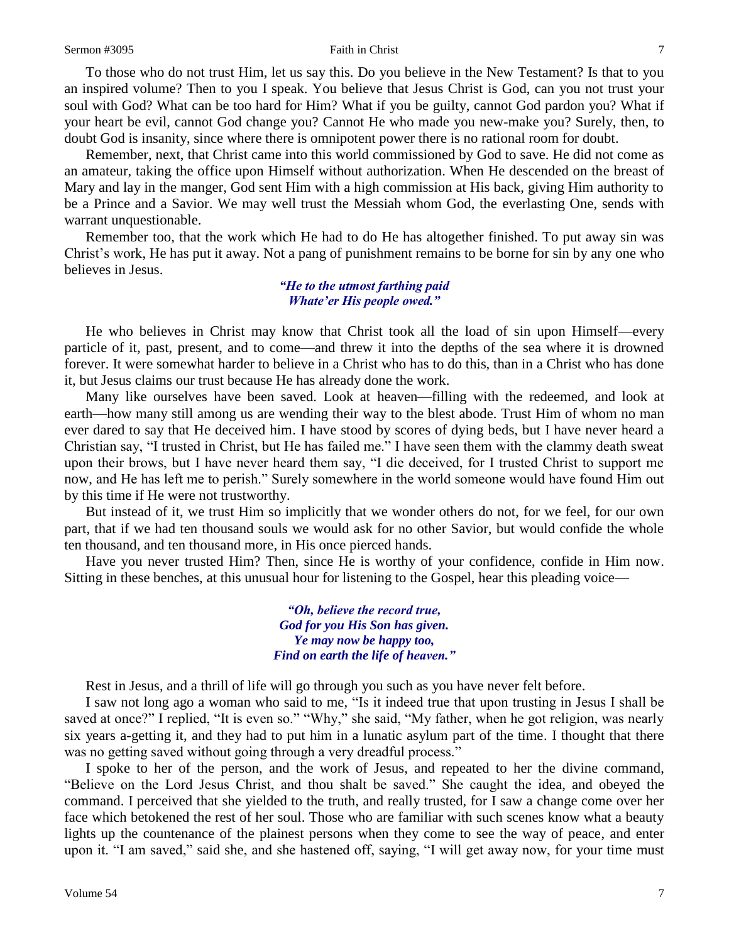To those who do not trust Him, let us say this. Do you believe in the New Testament? Is that to you an inspired volume? Then to you I speak. You believe that Jesus Christ is God, can you not trust your soul with God? What can be too hard for Him? What if you be guilty, cannot God pardon you? What if your heart be evil, cannot God change you? Cannot He who made you new-make you? Surely, then, to doubt God is insanity, since where there is omnipotent power there is no rational room for doubt.

Remember, next, that Christ came into this world commissioned by God to save. He did not come as an amateur, taking the office upon Himself without authorization. When He descended on the breast of Mary and lay in the manger, God sent Him with a high commission at His back, giving Him authority to be a Prince and a Savior. We may well trust the Messiah whom God, the everlasting One, sends with warrant unquestionable.

Remember too, that the work which He had to do He has altogether finished. To put away sin was Christ's work, He has put it away. Not a pang of punishment remains to be borne for sin by any one who believes in Jesus.

#### *"He to the utmost farthing paid Whate'er His people owed."*

He who believes in Christ may know that Christ took all the load of sin upon Himself—every particle of it, past, present, and to come—and threw it into the depths of the sea where it is drowned forever. It were somewhat harder to believe in a Christ who has to do this, than in a Christ who has done it, but Jesus claims our trust because He has already done the work.

Many like ourselves have been saved. Look at heaven—filling with the redeemed, and look at earth—how many still among us are wending their way to the blest abode. Trust Him of whom no man ever dared to say that He deceived him. I have stood by scores of dying beds, but I have never heard a Christian say, "I trusted in Christ, but He has failed me." I have seen them with the clammy death sweat upon their brows, but I have never heard them say, "I die deceived, for I trusted Christ to support me now, and He has left me to perish." Surely somewhere in the world someone would have found Him out by this time if He were not trustworthy.

But instead of it, we trust Him so implicitly that we wonder others do not, for we feel, for our own part, that if we had ten thousand souls we would ask for no other Savior, but would confide the whole ten thousand, and ten thousand more, in His once pierced hands.

Have you never trusted Him? Then, since He is worthy of your confidence, confide in Him now. Sitting in these benches, at this unusual hour for listening to the Gospel, hear this pleading voice—

> *"Oh, believe the record true, God for you His Son has given. Ye may now be happy too, Find on earth the life of heaven."*

Rest in Jesus, and a thrill of life will go through you such as you have never felt before.

I saw not long ago a woman who said to me, "Is it indeed true that upon trusting in Jesus I shall be saved at once?" I replied, "It is even so." "Why," she said, "My father, when he got religion, was nearly six years a-getting it, and they had to put him in a lunatic asylum part of the time. I thought that there was no getting saved without going through a very dreadful process."

I spoke to her of the person, and the work of Jesus, and repeated to her the divine command, "Believe on the Lord Jesus Christ, and thou shalt be saved." She caught the idea, and obeyed the command. I perceived that she yielded to the truth, and really trusted, for I saw a change come over her face which betokened the rest of her soul. Those who are familiar with such scenes know what a beauty lights up the countenance of the plainest persons when they come to see the way of peace, and enter upon it. "I am saved," said she, and she hastened off, saying, "I will get away now, for your time must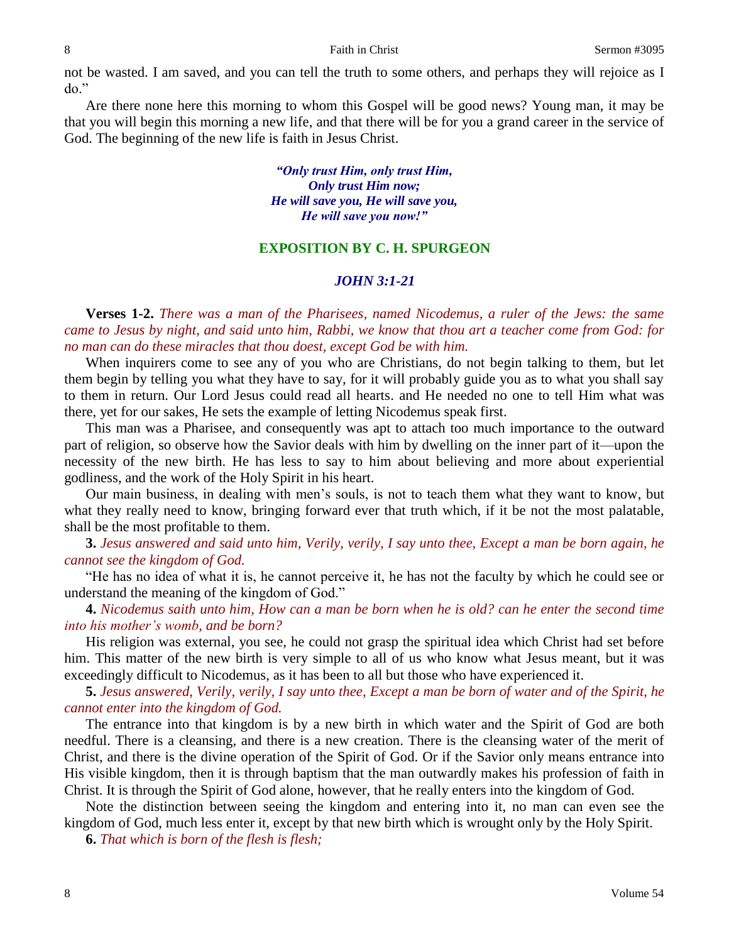not be wasted. I am saved, and you can tell the truth to some others, and perhaps they will rejoice as I do."

Are there none here this morning to whom this Gospel will be good news? Young man, it may be that you will begin this morning a new life, and that there will be for you a grand career in the service of God. The beginning of the new life is faith in Jesus Christ.

### *"Only trust Him, only trust Him, Only trust Him now; He will save you, He will save you, He will save you now!"*

### **EXPOSITION BY C. H. SPURGEON**

### *JOHN 3:1-21*

**Verses 1-2.** *There was a man of the Pharisees, named Nicodemus, a ruler of the Jews: the same came to Jesus by night, and said unto him, Rabbi, we know that thou art a teacher come from God: for no man can do these miracles that thou doest, except God be with him.*

When inquirers come to see any of you who are Christians, do not begin talking to them, but let them begin by telling you what they have to say, for it will probably guide you as to what you shall say to them in return. Our Lord Jesus could read all hearts. and He needed no one to tell Him what was there, yet for our sakes, He sets the example of letting Nicodemus speak first.

This man was a Pharisee, and consequently was apt to attach too much importance to the outward part of religion, so observe how the Savior deals with him by dwelling on the inner part of it—upon the necessity of the new birth. He has less to say to him about believing and more about experiential godliness, and the work of the Holy Spirit in his heart.

Our main business, in dealing with men's souls, is not to teach them what they want to know, but what they really need to know, bringing forward ever that truth which, if it be not the most palatable, shall be the most profitable to them.

**3.** *Jesus answered and said unto him, Verily, verily, I say unto thee, Except a man be born again, he cannot see the kingdom of God.*

"He has no idea of what it is, he cannot perceive it, he has not the faculty by which he could see or understand the meaning of the kingdom of God."

**4.** *Nicodemus saith unto him, How can a man be born when he is old? can he enter the second time into his mother's womb, and be born?*

His religion was external, you see, he could not grasp the spiritual idea which Christ had set before him. This matter of the new birth is very simple to all of us who know what Jesus meant, but it was exceedingly difficult to Nicodemus, as it has been to all but those who have experienced it.

**5.** *Jesus answered, Verily, verily, I say unto thee, Except a man be born of water and of the Spirit, he cannot enter into the kingdom of God.*

The entrance into that kingdom is by a new birth in which water and the Spirit of God are both needful. There is a cleansing, and there is a new creation. There is the cleansing water of the merit of Christ, and there is the divine operation of the Spirit of God. Or if the Savior only means entrance into His visible kingdom, then it is through baptism that the man outwardly makes his profession of faith in Christ. It is through the Spirit of God alone, however, that he really enters into the kingdom of God.

Note the distinction between seeing the kingdom and entering into it, no man can even see the kingdom of God, much less enter it, except by that new birth which is wrought only by the Holy Spirit.

**6.** *That which is born of the flesh is flesh;*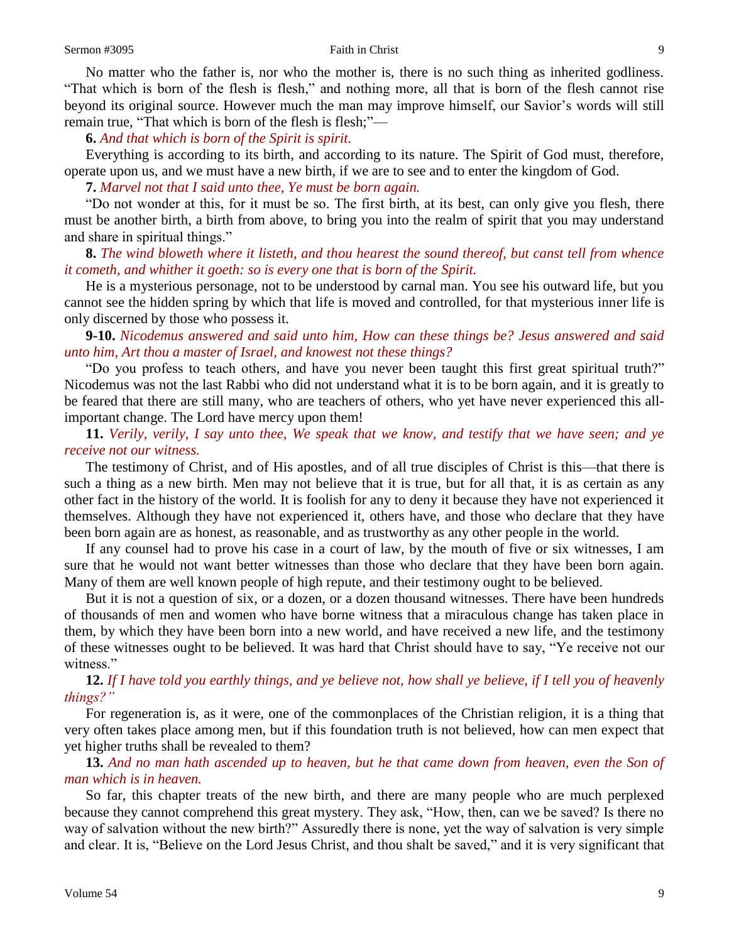No matter who the father is, nor who the mother is, there is no such thing as inherited godliness. "That which is born of the flesh is flesh," and nothing more, all that is born of the flesh cannot rise beyond its original source. However much the man may improve himself, our Savior's words will still remain true, "That which is born of the flesh is flesh;"—

**6.** *And that which is born of the Spirit is spirit.*

Everything is according to its birth, and according to its nature. The Spirit of God must, therefore, operate upon us, and we must have a new birth, if we are to see and to enter the kingdom of God.

**7.** *Marvel not that I said unto thee, Ye must be born again.*

"Do not wonder at this, for it must be so. The first birth, at its best, can only give you flesh, there must be another birth, a birth from above, to bring you into the realm of spirit that you may understand and share in spiritual things."

**8.** *The wind bloweth where it listeth, and thou hearest the sound thereof, but canst tell from whence it cometh, and whither it goeth: so is every one that is born of the Spirit.*

He is a mysterious personage, not to be understood by carnal man. You see his outward life, but you cannot see the hidden spring by which that life is moved and controlled, for that mysterious inner life is only discerned by those who possess it.

**9-10.** *Nicodemus answered and said unto him, How can these things be? Jesus answered and said unto him, Art thou a master of Israel, and knowest not these things?*

"Do you profess to teach others, and have you never been taught this first great spiritual truth?" Nicodemus was not the last Rabbi who did not understand what it is to be born again, and it is greatly to be feared that there are still many, who are teachers of others, who yet have never experienced this allimportant change. The Lord have mercy upon them!

**11.** *Verily, verily, I say unto thee, We speak that we know, and testify that we have seen; and ye receive not our witness.*

The testimony of Christ, and of His apostles, and of all true disciples of Christ is this—that there is such a thing as a new birth. Men may not believe that it is true, but for all that, it is as certain as any other fact in the history of the world. It is foolish for any to deny it because they have not experienced it themselves. Although they have not experienced it, others have, and those who declare that they have been born again are as honest, as reasonable, and as trustworthy as any other people in the world.

If any counsel had to prove his case in a court of law, by the mouth of five or six witnesses, I am sure that he would not want better witnesses than those who declare that they have been born again. Many of them are well known people of high repute, and their testimony ought to be believed.

But it is not a question of six, or a dozen, or a dozen thousand witnesses. There have been hundreds of thousands of men and women who have borne witness that a miraculous change has taken place in them, by which they have been born into a new world, and have received a new life, and the testimony of these witnesses ought to be believed. It was hard that Christ should have to say, "Ye receive not our witness."

# **12.** *If I have told you earthly things, and ye believe not, how shall ye believe, if I tell you of heavenly things?"*

For regeneration is, as it were, one of the commonplaces of the Christian religion, it is a thing that very often takes place among men, but if this foundation truth is not believed, how can men expect that yet higher truths shall be revealed to them?

# **13.** *And no man hath ascended up to heaven, but he that came down from heaven, even the Son of man which is in heaven.*

So far, this chapter treats of the new birth, and there are many people who are much perplexed because they cannot comprehend this great mystery. They ask, "How, then, can we be saved? Is there no way of salvation without the new birth?" Assuredly there is none, yet the way of salvation is very simple and clear. It is, "Believe on the Lord Jesus Christ, and thou shalt be saved," and it is very significant that